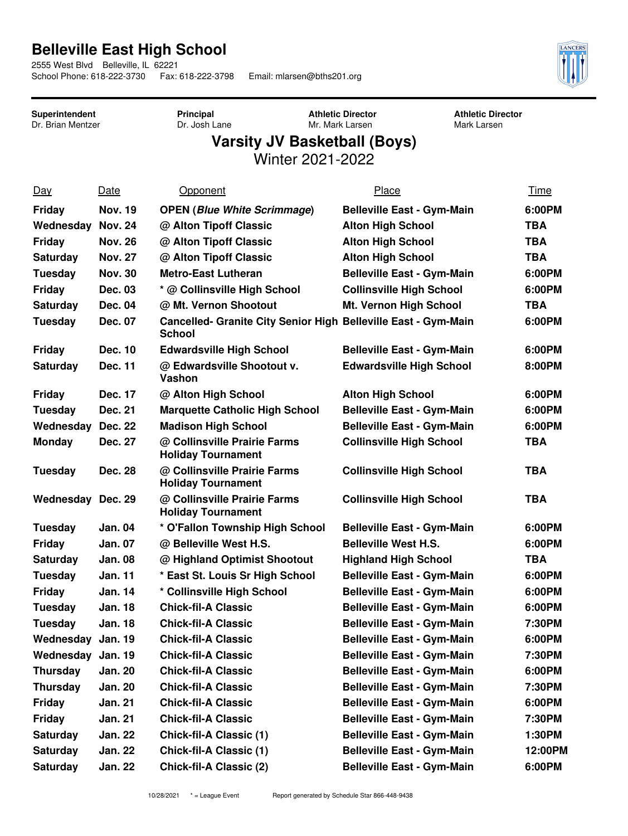## **Belleville East High School**

2555 West Blvd Belleville, IL 62221<br>School Phone: 618-222-3730 Fax: 618-222-3798

Email: mlarsen@bths201.org



**Superintendent** Dr. Brian Mentzer **Principal** Dr. Josh Lane **Athletic Director** Mr. Mark Larsen

**Athletic Director** Mark Larsen

## **Varsity JV Basketball (Boys)**

Winter 2021-2022

| $Day$             | Date           | Opponent                                                                        | Place                             | <u>Time</u> |
|-------------------|----------------|---------------------------------------------------------------------------------|-----------------------------------|-------------|
| <b>Friday</b>     | <b>Nov. 19</b> | <b>OPEN (Blue White Scrimmage)</b>                                              | <b>Belleville East - Gym-Main</b> | 6:00PM      |
| Wednesday         | <b>Nov. 24</b> | @ Alton Tipoff Classic                                                          | <b>Alton High School</b>          | <b>TBA</b>  |
| <b>Friday</b>     | <b>Nov. 26</b> | @ Alton Tipoff Classic                                                          | <b>Alton High School</b>          | TBA         |
| Saturday          | <b>Nov. 27</b> | @ Alton Tipoff Classic                                                          | <b>Alton High School</b>          | TBA         |
| Tuesday           | <b>Nov. 30</b> | <b>Metro-East Lutheran</b>                                                      | <b>Belleville East - Gym-Main</b> | 6:00PM      |
| <b>Friday</b>     | <b>Dec. 03</b> | * @ Collinsville High School                                                    | <b>Collinsville High School</b>   | 6:00PM      |
| Saturday          | Dec. 04        | @ Mt. Vernon Shootout                                                           | Mt. Vernon High School            | TBA         |
| <b>Tuesday</b>    | Dec. 07        | Cancelled- Granite City Senior High Belleville East - Gym-Main<br><b>School</b> |                                   | 6:00PM      |
| <b>Friday</b>     | Dec. 10        | <b>Edwardsville High School</b>                                                 | <b>Belleville East - Gym-Main</b> | 6:00PM      |
| <b>Saturday</b>   | <b>Dec. 11</b> | @ Edwardsville Shootout v.<br>Vashon                                            | <b>Edwardsville High School</b>   | 8:00PM      |
| Friday            | Dec. 17        | @ Alton High School                                                             | <b>Alton High School</b>          | 6:00PM      |
| <b>Tuesday</b>    | Dec. 21        | <b>Marquette Catholic High School</b>                                           | <b>Belleville East - Gym-Main</b> | 6:00PM      |
| Wednesday         | Dec. 22        | <b>Madison High School</b>                                                      | <b>Belleville East - Gym-Main</b> | 6:00PM      |
| <b>Monday</b>     | Dec. 27        | @ Collinsville Prairie Farms<br><b>Holiday Tournament</b>                       | <b>Collinsville High School</b>   | <b>TBA</b>  |
| Tuesday           | Dec. 28        | @ Collinsville Prairie Farms<br><b>Holiday Tournament</b>                       | <b>Collinsville High School</b>   | TBA         |
| Wednesday Dec. 29 |                | @ Collinsville Prairie Farms<br><b>Holiday Tournament</b>                       | <b>Collinsville High School</b>   | <b>TBA</b>  |
| Tuesday           | <b>Jan. 04</b> | * O'Fallon Township High School                                                 | <b>Belleville East - Gym-Main</b> | 6:00PM      |
| <b>Friday</b>     | <b>Jan. 07</b> | @ Belleville West H.S.                                                          | <b>Belleville West H.S.</b>       | 6:00PM      |
| <b>Saturday</b>   | <b>Jan. 08</b> | @ Highland Optimist Shootout                                                    | <b>Highland High School</b>       | TBA         |
| <b>Tuesday</b>    | <b>Jan. 11</b> | * East St. Louis Sr High School                                                 | <b>Belleville East - Gym-Main</b> | 6:00PM      |
| <b>Friday</b>     | <b>Jan. 14</b> | * Collinsville High School                                                      | <b>Belleville East - Gym-Main</b> | 6:00PM      |
| <b>Tuesday</b>    | <b>Jan. 18</b> | <b>Chick-fil-A Classic</b>                                                      | <b>Belleville East - Gym-Main</b> | 6:00PM      |
| Tuesday           | <b>Jan. 18</b> | <b>Chick-fil-A Classic</b>                                                      | <b>Belleville East - Gym-Main</b> | 7:30PM      |
| Wednesday Jan. 19 |                | <b>Chick-fil-A Classic</b>                                                      | <b>Belleville East - Gym-Main</b> | 6:00PM      |
| Wednesday Jan. 19 |                | <b>Chick-fil-A Classic</b>                                                      | <b>Belleville East - Gym-Main</b> | 7:30PM      |
| <b>Thursday</b>   | <b>Jan. 20</b> | <b>Chick-fil-A Classic</b>                                                      | <b>Belleville East - Gym-Main</b> | 6:00PM      |
| <b>Thursday</b>   | <b>Jan. 20</b> | <b>Chick-fil-A Classic</b>                                                      | <b>Belleville East - Gym-Main</b> | 7:30PM      |
| <b>Friday</b>     | Jan. 21        | <b>Chick-fil-A Classic</b>                                                      | <b>Belleville East - Gym-Main</b> | 6:00PM      |
| <b>Friday</b>     | Jan. 21        | <b>Chick-fil-A Classic</b>                                                      | <b>Belleville East - Gym-Main</b> | 7:30PM      |
| <b>Saturday</b>   | <b>Jan. 22</b> | <b>Chick-fil-A Classic (1)</b>                                                  | <b>Belleville East - Gym-Main</b> | 1:30PM      |
| Saturday          | Jan. 22        | <b>Chick-fil-A Classic (1)</b>                                                  | <b>Belleville East - Gym-Main</b> | 12:00PM     |
| <b>Saturday</b>   | <b>Jan. 22</b> | <b>Chick-fil-A Classic (2)</b>                                                  | <b>Belleville East - Gym-Main</b> | 6:00PM      |